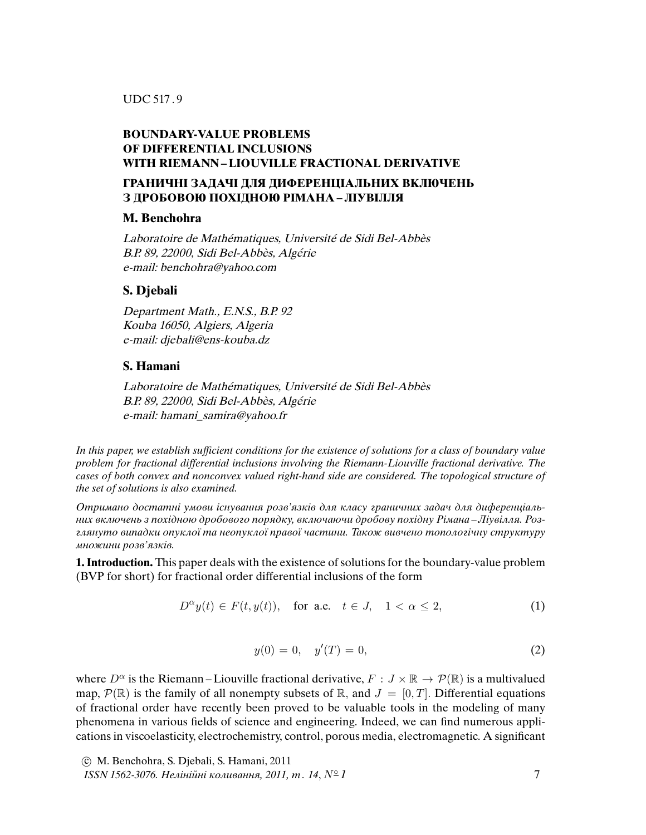### **BOUNDARY-VALUE PROBLEMS OF DIFFERENTIAL INCLUSIONS WITH RIEMANN –LIOUVILLE FRACTIONAL DERIVATIVE**

## **ГРАНИЧНI ЗАДАЧI ДЛЯ ДИФЕРЕНЦIАЛЬНИХ ВКЛЮЧЕНЬ З ДРОБОВОЮ ПОХIДНОЮ РIМАНА – ЛIУВIЛЛЯ**

### **M. Benchohra**

Laboratoire de Mathématiques, Université de Sidi Bel-Abbès B.P. 89, 22000, Sidi Bel-Abbès, Algérie e-mail: benchohra@yahoo.com

## **S. Djebali**

Department Math., E.N.S., B.P. 92 Kouba 16050, Algiers, Algeria e-mail: djebali@ens-kouba.dz

# **S. Hamani**

Laboratoire de Mathématiques, Université de Sidi Bel-Abbès B.P. 89, 22000, Sidi Bel-Abbès, Algérie e-mail: hamani\_samira@yahoo.fr

In this paper, we establish suf*fi*cient conditions for the existence of solutions for a class of boundary value problem for fractional differential inclusions involving the Riemann-Liouville fractional derivative. The cases of both convex and nonconvex valued right-hand side are considered. The topological structure of the set of solutions is also examined.

Отримано достатнi умови iснування розв'язкiв для класу граничних задач для диференцiальних включень з похiдною дробового порядку, включаючи дробову похiдну Рiмана *–* Лiувiлля. Розглянуто випадки опуклої та неопуклої правої частини. Також вивчено топологiчну структуру множини розв'язкiв.

**1. Introduction.** This paper deals with the existence of solutions for the boundary-value problem (BVP for short) for fractional order differential inclusions of the form

$$
D^{\alpha}y(t) \in F(t, y(t)), \quad \text{for a.e.} \quad t \in J, \quad 1 < \alpha \le 2,\tag{1}
$$

$$
y(0) = 0, \quad y'(T) = 0,\tag{2}
$$

where  $D^{\alpha}$  is the Riemann-Liouville fractional derivative,  $F : J \times \mathbb{R} \to \mathcal{P}(\mathbb{R})$  is a multivalued map,  $\mathcal{P}(\mathbb{R})$  is the family of all nonempty subsets of  $\mathbb{R}$ , and  $J = [0, T]$ . Differential equations of fractional order have recently been proved to be valuable tools in the modeling of many phenomena in various fields of science and engineering. Indeed, we can find numerous applications in viscoelasticity, electrochemistry, control, porous media, electromagnetic. A significant

c M. Benchohra, S. Djebali, S. Hamani, 2011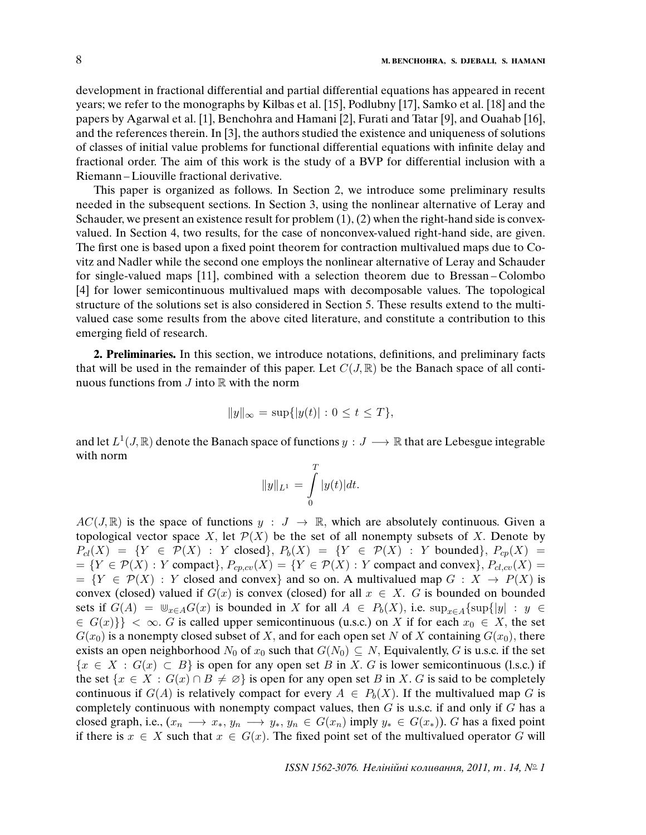development in fractional differential and partial differential equations has appeared in recent years; we refer to the monographs by Kilbas et al. [15], Podlubny [17], Samko et al. [18] and the papers by Agarwal et al. [1], Benchohra and Hamani [2], Furati and Tatar [9], and Ouahab [16], and the references therein. In [3], the authors studied the existence and uniqueness of solutions of classes of initial value problems for functional differential equations with infinite delay and fractional order. The aim of this work is the study of a BVP for differential inclusion with a Riemann –Liouville fractional derivative.

This paper is organized as follows. In Section 2, we introduce some preliminary results needed in the subsequent sections. In Section 3, using the nonlinear alternative of Leray and Schauder, we present an existence result for problem  $(1)$ ,  $(2)$  when the right-hand side is convexvalued. In Section 4, two results, for the case of nonconvex-valued right-hand side, are given. The first one is based upon a fixed point theorem for contraction multivalued maps due to Covitz and Nadler while the second one employs the nonlinear alternative of Leray and Schauder for single-valued maps [11], combined with a selection theorem due to Bressan – Colombo [4] for lower semicontinuous multivalued maps with decomposable values. The topological structure of the solutions set is also considered in Section 5. These results extend to the multivalued case some results from the above cited literature, and constitute a contribution to this emerging field of research.

**2. Preliminaries.** In this section, we introduce notations, definitions, and preliminary facts that will be used in the remainder of this paper. Let  $C(J, \mathbb{R})$  be the Banach space of all continuous functions from  $J$  into  $\mathbb R$  with the norm

$$
||y||_{\infty} = \sup\{|y(t)| : 0 \le t \le T\},\
$$

and let  $L^1(J, \mathbb{R})$  denote the Banach space of functions  $y : J \longrightarrow \mathbb{R}$  that are Lebesgue integrable with norm

$$
||y||_{L^1} = \int_0^T |y(t)| dt.
$$

 $AC(J, \mathbb{R})$  is the space of functions  $y : J \to \mathbb{R}$ , which are absolutely continuous. Given a topological vector space X, let  $\mathcal{P}(X)$  be the set of all nonempty subsets of X. Denote by  $P_{cl}(X) = \{ Y \in \mathcal{P}(X) : Y \text{ closed} \}, P_{b}(X) = \{ Y \in \mathcal{P}(X) : Y \text{ bounded} \}, P_{cp}(X) =$  $=\{Y \in \mathcal{P}(X) : Y \text{ compact}\}, P_{\text{c}p,\text{c}v}(X) = \{Y \in \mathcal{P}(X) : Y \text{ compact and convex}\}, P_{\text{c}l,\text{c}v}(X) = \{Y \in \mathcal{P}(X) : Y \text{ compact and convex}\}$  $= \{Y \in \mathcal{P}(X) : Y \text{ closed and convex}\}$  and so on. A multivalued map  $G : X \to P(X)$  is convex (closed) valued if  $G(x)$  is convex (closed) for all  $x \in X$ . G is bounded on bounded sets if  $G(A) = \mathbb{U}_{x \in A}G(x)$  is bounded in X for all  $A \in P_b(X)$ , i.e.  $\sup_{x \in A} {\sup_{y \in A} [y| : y \in A]}$  $\{G(x)\}\}<\infty$ . G is called upper semicontinuous (u.s.c.) on X if for each  $x_0 \in X$ , the set  $G(x_0)$  is a nonempty closed subset of X, and for each open set N of X containing  $G(x_0)$ , there exists an open neighborhood  $N_0$  of  $x_0$  such that  $G(N_0) \subseteq N$ , Equivalently, G is u.s.c. if the set  ${x \in X : G(x) \subset B}$  is open for any open set B in X. G is lower semicontinuous (l.s.c.) if the set  $\{x \in X : G(x) \cap B \neq \emptyset\}$  is open for any open set B in X. G is said to be completely continuous if  $G(A)$  is relatively compact for every  $A \in P_b(X)$ . If the multivalued map G is completely continuous with nonempty compact values, then  $G$  is u.s.c. if and only if  $G$  has a closed graph, i.e.,  $(x_n \longrightarrow x_*, y_n \longrightarrow y_*, y_n \in G(x_n)$  imply  $y_* \in G(x_*)$ ). G has a fixed point if there is  $x \in X$  such that  $x \in G(x)$ . The fixed point set of the multivalued operator G will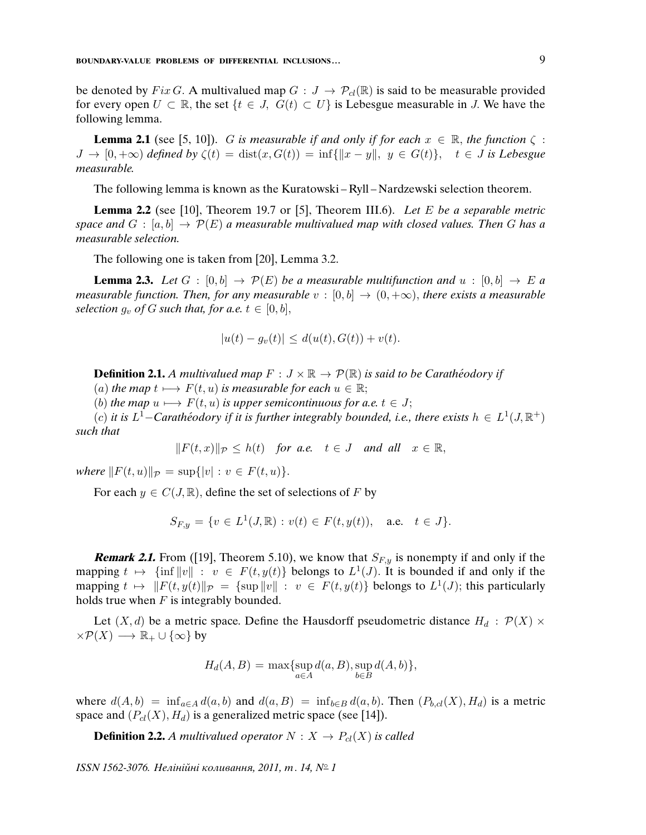be denoted by Fix G. A multivalued map  $G: J \to \mathcal{P}_{cl}(\mathbb{R})$  is said to be measurable provided for every open  $U \subset \mathbb{R}$ , the set  $\{t \in J, G(t) \subset U\}$  is Lebesgue measurable in J. We have the following lemma.

**Lemma 2.1** (see [5, 10]). G is measurable if and only if for each  $x \in \mathbb{R}$ , the function  $\zeta$ :  $J \to [0, +\infty)$  defined by  $\zeta(t) = \text{dist}(x, G(t)) = \inf\{|x - y\|, y \in G(t)\}, t \in J$  is Lebesgue measurable.

The following lemma is known as the Kuratowski – Ryll – Nardzewski selection theorem.

**Lemma 2.2** (see [10], Theorem 19.7 or [5], Theorem III.6). Let E be a separable metric space and  $G : [a, b] \to \mathcal{P}(E)$  a measurable multivalued map with closed values. Then G has a measurable selection.

The following one is taken from [20], Lemma 3.2.

**Lemma 2.3.** Let  $G : [0, b] \rightarrow \mathcal{P}(E)$  be a measurable multifunction and  $u : [0, b] \rightarrow E$  a measurable function. Then, for any measurable  $v : [0, b] \rightarrow (0, +\infty)$ , there exists a measurable selection  $g_v$  of G such that, for a.e.  $t \in [0, b]$ ,

$$
|u(t) - g_v(t)| \le d(u(t), G(t)) + v(t).
$$

**Definition 2.1.** A multivalued map  $F : J \times \mathbb{R} \to \mathcal{P}(\mathbb{R})$  is said to be Caratheodory if

(a) the map  $t \mapsto F(t, u)$  is measurable for each  $u \in \mathbb{R}$ ;

(b) the map  $u \mapsto F(t, u)$  is upper semicontinuous for a.e.  $t \in J$ ;

(c) it is L<sup>1</sup>-Carathéodory if it is further integrably bounded, i.e., there exists  $h \in L^1(J, \mathbb{R}^+)$ such that

$$
||F(t,x)||_{\mathcal{P}} \leq h(t)
$$
 for a.e.  $t \in J$  and all  $x \in \mathbb{R}$ ,

where  $||F(t, u)||_{\mathcal{P}} = \sup\{|v| : v \in F(t, u)\}.$ 

For each  $y \in C(J, \mathbb{R})$ , define the set of selections of F by

$$
S_{F,y} = \{ v \in L^1(J, \mathbb{R}) : v(t) \in F(t, y(t)), \text{ a.e. } t \in J \}.
$$

**Remark 2.1.** From ([19], Theorem 5.10), we know that  $S_{F,y}$  is nonempty if and only if the mapping  $t \mapsto \{\inf ||v|| : v \in F(t, y(t)]\}$  belongs to  $L^1(J)$ . It is bounded if and only if the mapping  $t \mapsto ||F(t, y(t)||_{\mathcal{P}} = {\text{sup}} ||v|| : v \in F(t, y(t)]$  belongs to  $L^1(J)$ ; this particularly holds true when  $F$  is integrably bounded.

Let  $(X, d)$  be a metric space. Define the Hausdorff pseudometric distance  $H_d : \mathcal{P}(X) \times$  $\times \mathcal{P}(X) \longrightarrow \mathbb{R}_{+} \cup {\infty}$  by

$$
H_d(A, B) = \max\{\sup_{a \in A} d(a, B), \sup_{b \in B} d(A, b)\},\
$$

where  $d(A, b) = \inf_{a \in A} d(a, b)$  and  $d(a, B) = \inf_{b \in B} d(a, b)$ . Then  $(P_{b, cl}(X), H_d)$  is a metric space and  $(P_{cl}(X), H_d)$  is a generalized metric space (see [14]).

**Definition 2.2.** A multivalued operator  $N : X \to P_{cl}(X)$  is called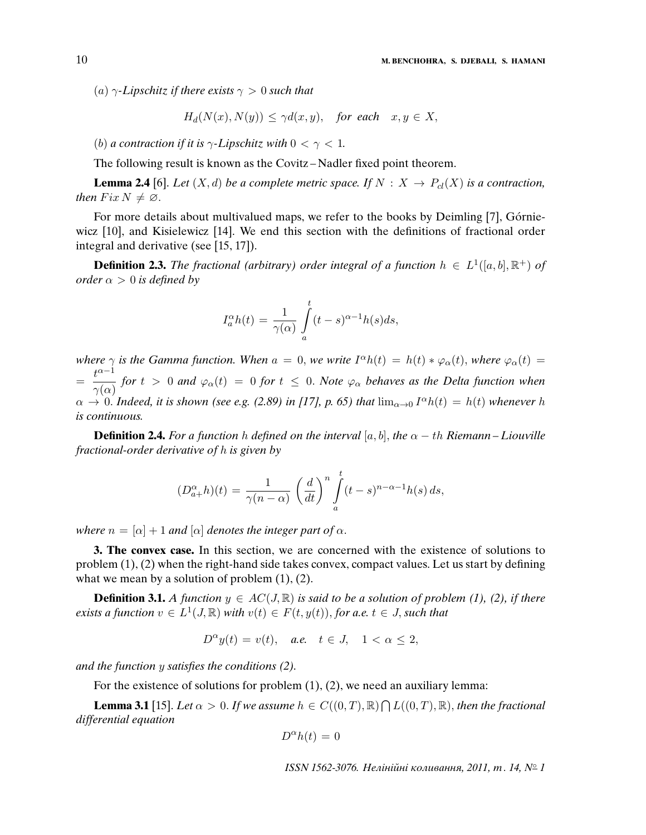(a)  $\gamma$ -Lipschitz if there exists  $\gamma > 0$  such that

$$
H_d(N(x), N(y)) \le \gamma d(x, y), \quad \text{for each} \quad x, y \in X,
$$

(b) a contraction if it is  $\gamma$ -Lipschitz with  $0 < \gamma < 1$ .

The following result is known as the Covitz – Nadler fixed point theorem.

**Lemma 2.4** [6]. Let  $(X, d)$  be a complete metric space. If  $N : X \to P_{cl}(X)$  is a contraction, then  $Fix N \neq \emptyset$ .

For more details about multivalued maps, we refer to the books by Deimling [7], Górniewicz [10], and Kisielewicz [14]. We end this section with the definitions of fractional order integral and derivative (see [15, 17]).

**Definition 2.3.** The fractional (arbitrary) order integral of a function  $h \in L^1([a, b], \mathbb{R}^+)$  of order  $\alpha > 0$  is defined by

$$
I_a^{\alpha}h(t) = \frac{1}{\gamma(\alpha)} \int_a^t (t-s)^{\alpha-1}h(s)ds,
$$

where  $\gamma$  is the Gamma function. When  $a = 0$ , we write  $I^{\alpha}h(t) = h(t) * \varphi_{\alpha}(t)$ , where  $\varphi_{\alpha}(t) =$  $=\frac{t^{\alpha-1}}{2}$  $\frac{\partial^2}{\partial \gamma(\alpha)}$  for  $t > 0$  and  $\varphi_\alpha(t) = 0$  for  $t \leq 0$ . Note  $\varphi_\alpha$  behaves as the Delta function when  $\alpha \to 0$ . Indeed, it is shown (see e.g. (2.89) in [17], p. 65) that  $\lim_{\alpha\to 0} I^{\alpha}h(t) = h(t)$  whenever h is continuous.

**Definition 2.4.** For a function h defined on the interval  $[a, b]$ , the  $\alpha - th$  Riemann – Liouville fractional-order derivative of h is given by

$$
(D_{a+}^{\alpha}h)(t) = \frac{1}{\gamma(n-\alpha)} \left(\frac{d}{dt}\right)^n \int_a^t (t-s)^{n-\alpha-1} h(s) \, ds,
$$

where  $n = [\alpha] + 1$  and  $[\alpha]$  denotes the integer part of  $\alpha$ .

**3. The convex case.** In this section, we are concerned with the existence of solutions to problem (1), (2) when the right-hand side takes convex, compact values. Let us start by defining what we mean by a solution of problem  $(1)$ ,  $(2)$ .

**Definition 3.1.** A function  $y \in AC(J, \mathbb{R})$  is said to be a solution of problem (1), (2), if there exists a function  $v \in L^1(J, \mathbb{R})$  with  $v(t) \in F(t, y(t))$ , for a.e.  $t \in J$ , such that

$$
D^{\alpha}y(t) = v(t), \quad a.e. \quad t \in J, \quad 1 < \alpha \leq 2,
$$

and the function y satis*fi*es the conditions (2).

For the existence of solutions for problem  $(1)$ ,  $(2)$ , we need an auxiliary lemma:

**Lemma 3.1** [15]. Let  $\alpha > 0$ . If we assume  $h \in C((0,T), \mathbb{R}) \cap L((0,T), \mathbb{R})$ , then the fractional differential equation

$$
D^{\alpha}h(t) = 0
$$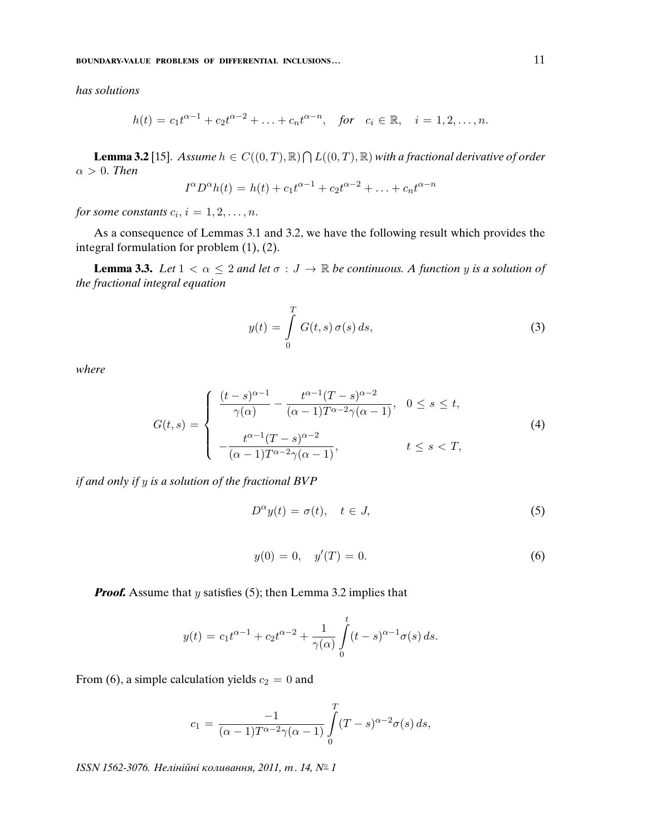has solutions

$$
h(t) = c_1 t^{\alpha - 1} + c_2 t^{\alpha - 2} + \ldots + c_n t^{\alpha - n}, \text{ for } c_i \in \mathbb{R}, \quad i = 1, 2, \ldots, n.
$$

**Lemma 3.2** [15]. Assume  $h \in C((0,T),\mathbb{R}) \cap L((0,T),\mathbb{R})$  with a fractional derivative of order  $\alpha > 0$ . Then

$$
I^{\alpha}D^{\alpha}h(t) = h(t) + c_1t^{\alpha-1} + c_2t^{\alpha-2} + \ldots + c_nt^{\alpha-n}
$$

for some constants  $c_i$ ,  $i = 1, 2, \ldots, n$ .

As a consequence of Lemmas 3.1 and 3.2, we have the following result which provides the integral formulation for problem (1), (2).

**Lemma 3.3.** Let  $1 < \alpha \leq 2$  and let  $\sigma : J \to \mathbb{R}$  be continuous. A function y is a solution of the fractional integral equation

$$
y(t) = \int_{0}^{T} G(t, s) \sigma(s) ds,
$$
\n(3)

where

$$
G(t,s) = \begin{cases} \frac{(t-s)^{\alpha-1}}{\gamma(\alpha)} - \frac{t^{\alpha-1}(T-s)^{\alpha-2}}{(\alpha-1)T^{\alpha-2}\gamma(\alpha-1)}, & 0 \le s \le t, \\ -\frac{t^{\alpha-1}(T-s)^{\alpha-2}}{(\alpha-1)T^{\alpha-2}\gamma(\alpha-1)}, & t \le s < T, \end{cases}
$$
(4)

if and only if y is a solution of the fractional BVP

$$
D^{\alpha}y(t) = \sigma(t), \quad t \in J,
$$
\n(5)

$$
y(0) = 0, \quad y'(T) = 0. \tag{6}
$$

**Proof.** Assume that y satisfies (5); then Lemma 3.2 implies that

$$
y(t) = c_1 t^{\alpha - 1} + c_2 t^{\alpha - 2} + \frac{1}{\gamma(\alpha)} \int_{0}^{t} (t - s)^{\alpha - 1} \sigma(s) ds.
$$

From (6), a simple calculation yields  $c_2 = 0$  and

$$
c_1 = \frac{-1}{(\alpha - 1)T^{\alpha - 2}\gamma(\alpha - 1)} \int\limits_0^T (T - s)^{\alpha - 2} \sigma(s) ds,
$$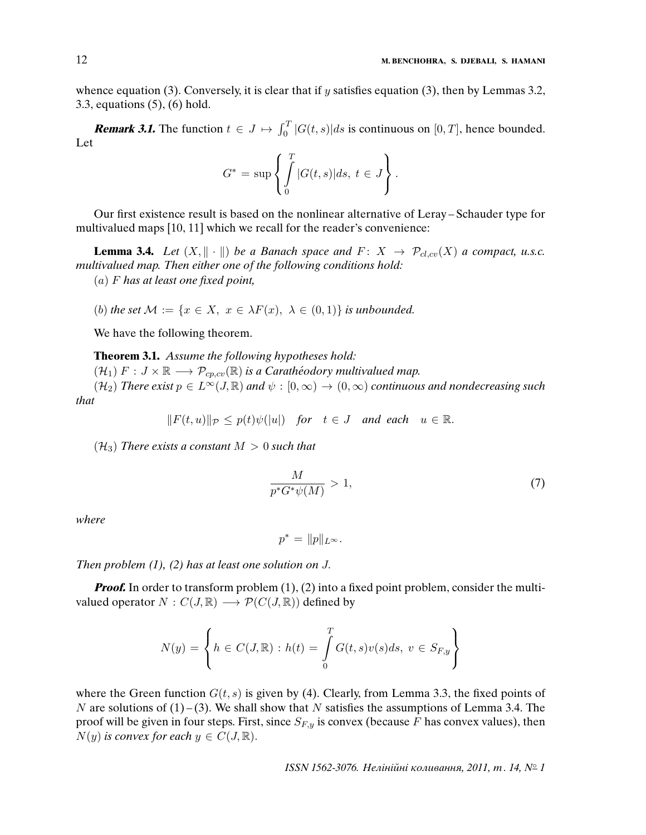whence equation (3). Conversely, it is clear that if y satisfies equation (3), then by Lemmas 3.2, 3.3, equations (5), (6) hold.

**Remark 3.1.** The function  $t \in J \mapsto \int_0^T |G(t, s)| ds$  is continuous on [0, T], hence bounded. Let

$$
G^* = \sup \left\{ \int_0^T |G(t,s)| ds, \ t \in J \right\}.
$$

Our first existence result is based on the nonlinear alternative of Leray – Schauder type for multivalued maps [10, 11] which we recall for the reader's convenience:

**Lemma 3.4.** Let  $(X, \|\cdot\|)$  be a Banach space and  $F: X \to \mathcal{P}_{cl,cv}(X)$  a compact, u.s.c. multivalued map. Then either one of the following conditions hold: (a) F has at least one *fi*xed point,

(b) the set  $\mathcal{M} := \{x \in X, x \in \lambda F(x), \lambda \in (0,1)\}\$ is unbounded.

We have the following theorem.

#### **Theorem 3.1.** Assume the following hypotheses hold:

 $(\mathcal{H}_1)$   $F : J \times \mathbb{R} \longrightarrow \mathcal{P}_{\text{cn},\text{cu}}(\mathbb{R})$  is a Carathéodory multivalued map.

 $(\mathcal{H}_2)$  There exist  $p \in L^{\infty}(J,\mathbb{R})$  and  $\psi : [0,\infty) \to (0,\infty)$  continuous and nondecreasing such that

$$
||F(t, u)||_{\mathcal{P}} \leq p(t)\psi(|u|)
$$
 for  $t \in J$  and each  $u \in \mathbb{R}$ .

 $(\mathcal{H}_3)$  There exists a constant  $M > 0$  such that

$$
\frac{M}{p^*G^*\psi(M)} > 1,\tag{7}
$$

where

$$
p^* = ||p||_{L^{\infty}}.
$$

Then problem  $(1)$ ,  $(2)$  has at least one solution on J.

*Proof.* In order to transform problem (1), (2) into a fixed point problem, consider the multivalued operator  $N : C(J, \mathbb{R}) \longrightarrow \mathcal{P}(C(J, \mathbb{R}))$  defined by

$$
N(y) = \left\{ h \in C(J, \mathbb{R}) : h(t) = \int\limits_0^T G(t, s)v(s)ds, \ v \in S_{F, y} \right\}
$$

where the Green function  $G(t, s)$  is given by (4). Clearly, from Lemma 3.3, the fixed points of N are solutions of  $(1) - (3)$ . We shall show that N satisfies the assumptions of Lemma 3.4. The proof will be given in four steps. First, since  $S_{F,y}$  is convex (because F has convex values), then  $N(y)$  is convex for each  $y \in C(J, \mathbb{R})$ .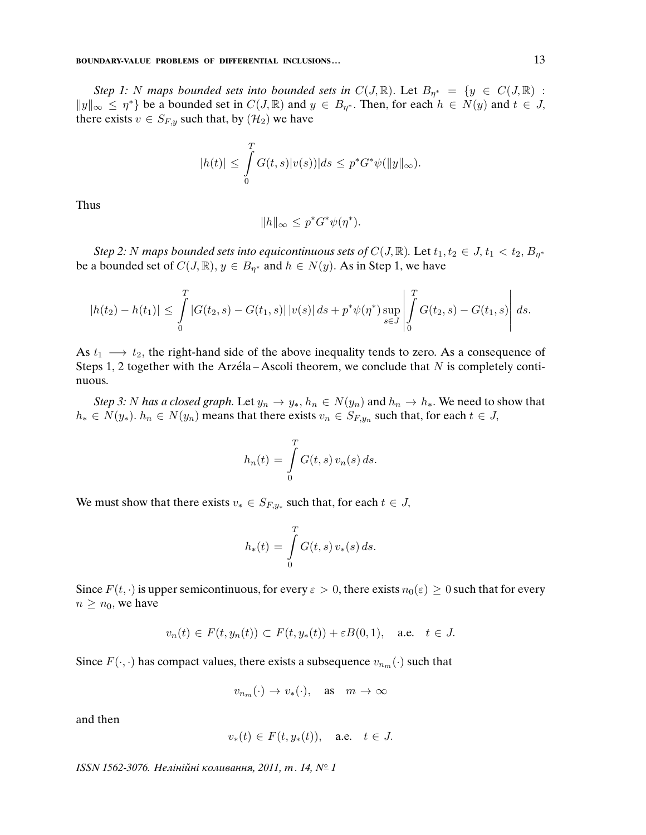Step 1: N maps bounded sets into bounded sets in  $C(J, \mathbb{R})$ . Let  $B_{\eta^*} = \{y \in C(J, \mathbb{R})$ :  $||y||_{\infty} \leq \eta^*$  be a bounded set in  $C(J, \mathbb{R})$  and  $y \in B_{\eta^*}$ . Then, for each  $h \in N(y)$  and  $t \in J$ , there exists  $v \in S_{F,y}$  such that, by  $(\mathcal{H}_2)$  we have

$$
|h(t)| \leq \int\limits_0^T G(t,s)|v(s))|ds \leq p^*G^*\psi(||y||_{\infty}).
$$

Thus

$$
||h||_{\infty} \le p^* G^* \psi(\eta^*).
$$

Step 2: N maps bounded sets into equicontinuous sets of  $C(J, \mathbb{R})$ . Let  $t_1, t_2 \in J$ ,  $t_1 < t_2$ ,  $B_{\eta^*}$ be a bounded set of  $C(J, \mathbb{R}), y \in B_{\eta^*}$  and  $h \in N(y)$ . As in Step 1, we have

$$
|h(t_2) - h(t_1)| \leq \int_0^T |G(t_2, s) - G(t_1, s)| |v(s)| ds + p^* \psi(\eta^*) \sup_{s \in J} \left| \int_0^T G(t_2, s) - G(t_1, s) \right| ds.
$$

As  $t_1 \longrightarrow t_2$ , the right-hand side of the above inequality tends to zero. As a consequence of Steps 1, 2 together with the Arzéla – Ascoli theorem, we conclude that  $N$  is completely continuous.

Step 3: N has a closed graph. Let  $y_n \to y_*, h_n \in N(y_n)$  and  $h_n \to h_*$ . We need to show that  $h_* \in N(y_*)$ .  $h_n \in N(y_n)$  means that there exists  $v_n \in S_{F,y_n}$  such that, for each  $t \in J$ ,

$$
h_n(t) = \int\limits_0^T G(t,s) v_n(s) ds.
$$

We must show that there exists  $v_* \in S_{F,y_*}$  such that, for each  $t \in J$ ,

$$
h_*(t) = \int\limits_0^T G(t,s) \, v_*(s) \, ds.
$$

Since  $F(t, \cdot)$  is upper semicontinuous, for every  $\varepsilon > 0$ , there exists  $n_0(\varepsilon) \geq 0$  such that for every  $n \geq n_0$ , we have

$$
v_n(t) \in F(t, y_n(t)) \subset F(t, y_*(t)) + \varepsilon B(0, 1), \quad \text{a.e.} \quad t \in J.
$$

Since  $F(\cdot, \cdot)$  has compact values, there exists a subsequence  $v_{n_m}(\cdot)$  such that

$$
v_{n_m}(\cdot) \to v_*(\cdot), \quad \text{as} \quad m \to \infty
$$

and then

$$
v_*(t) \in F(t, y_*(t)), \quad \text{a.e.} \quad t \in J.
$$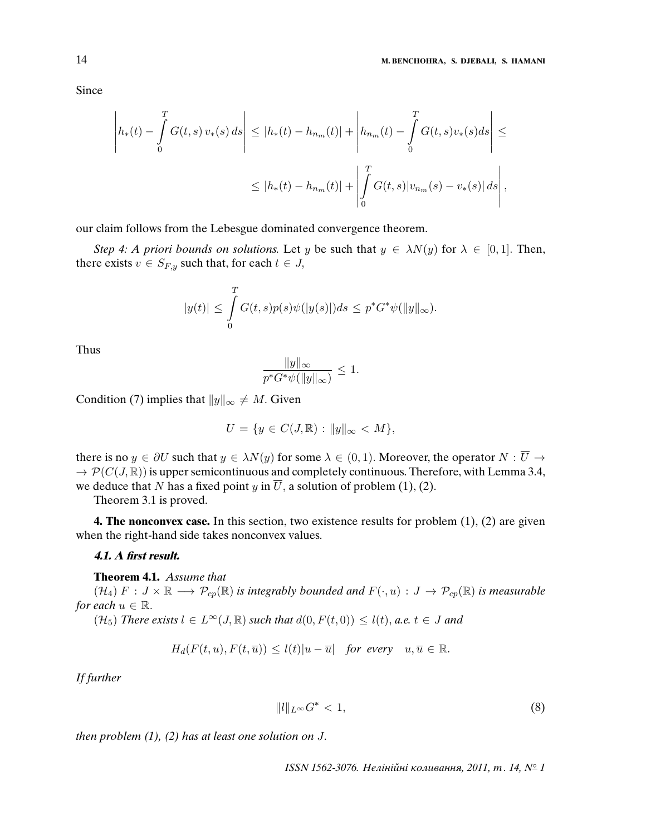Since

$$
\left| h_*(t) - \int_0^T G(t,s) \, v_*(s) \, ds \right| \leq |h_*(t) - h_{n_m}(t)| + \left| h_{n_m}(t) - \int_0^T G(t,s) v_*(s) \, ds \right| \leq
$$
  

$$
\leq |h_*(t) - h_{n_m}(t)| + \left| \int_0^T G(t,s) |v_{n_m}(s) - v_*(s)| \, ds \right|,
$$

our claim follows from the Lebesgue dominated convergence theorem.

Step 4: A priori bounds on solutions. Let y be such that  $y \in \lambda N(y)$  for  $\lambda \in [0,1]$ . Then, there exists  $v \in S_{F,y}$  such that, for each  $t \in J$ ,

$$
|y(t)| \leq \int_{0}^{T} G(t,s)p(s)\psi(|y(s)|)ds \leq p^*G^*\psi(||y||_{\infty}).
$$

Thus

$$
\frac{\|y\|_{\infty}}{p^*G^*\psi(\|y\|_{\infty})} \le 1.
$$

Condition (7) implies that  $||y||_{\infty} \neq M$ . Given

$$
U = \{ y \in C(J, \mathbb{R}) : ||y||_{\infty} < M \},
$$

there is no  $y \in \partial U$  such that  $y \in \lambda N(y)$  for some  $\lambda \in (0,1)$ . Moreover, the operator  $N : \overline{U} \to$  $\rightarrow \mathcal{P}(C(J,\mathbb{R}))$  is upper semicontinuous and completely continuous. Therefore, with Lemma 3.4, we deduce that N has a fixed point y in  $\overline{U}$ , a solution of problem (1), (2).

Theorem 3.1 is proved.

**4. The nonconvex case.** In this section, two existence results for problem  $(1)$ ,  $(2)$  are given when the right-hand side takes nonconvex values.

#### **4.1. A first result.**

#### **Theorem 4.1.** Assume that

 $(\mathcal{H}_4)$   $F : J \times \mathbb{R} \longrightarrow \mathcal{P}_{cp}(\mathbb{R})$  is integrably bounded and  $F(\cdot, u) : J \to \mathcal{P}_{cp}(\mathbb{R})$  is measurable for each  $u \in \mathbb{R}$ .

 $(\mathcal{H}_5)$  There exists  $l \in L^{\infty}(J,\mathbb{R})$  such that  $d(0, F(t,0)) \leq l(t)$ , a.e.  $t \in J$  and

$$
H_d(F(t, u), F(t, \overline{u})) \le l(t)|u - \overline{u}| \quad \text{for every} \quad u, \overline{u} \in \mathbb{R}.
$$

If further

$$
||l||_{L^{\infty}}G^*<1,
$$
\n(8)

then problem  $(1)$ ,  $(2)$  has at least one solution on J.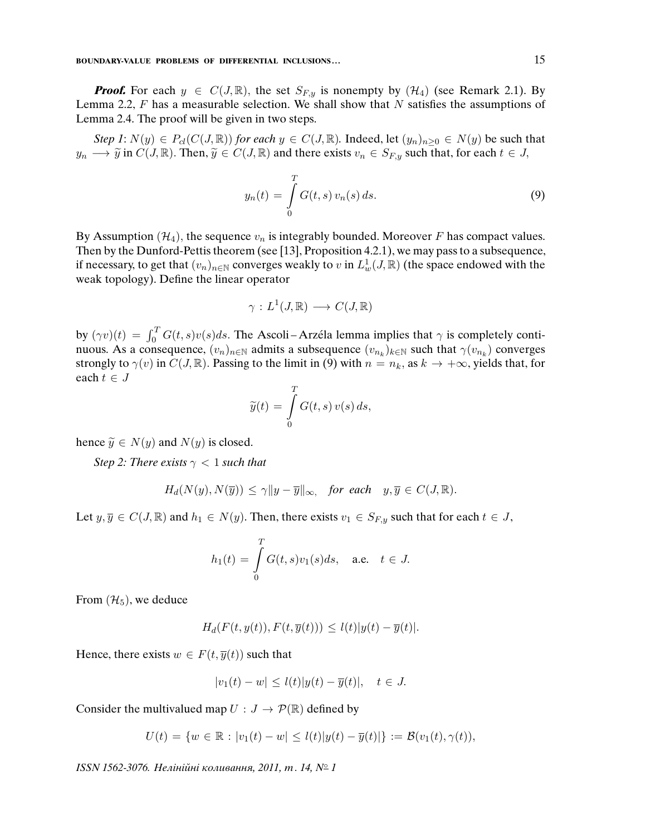**Proof.** For each  $y \in C(J, \mathbb{R})$ , the set  $S_{F,y}$  is nonempty by  $(\mathcal{H}_4)$  (see Remark 2.1). By Lemma 2.2,  $F$  has a measurable selection. We shall show that  $N$  satisfies the assumptions of Lemma 2.4. The proof will be given in two steps.

Step 1:  $N(y) \in P_{cl}(C(J, \mathbb{R}))$  for each  $y \in C(J, \mathbb{R})$ . Indeed, let  $(y_n)_{n \geq 0} \in N(y)$  be such that  $y_n \longrightarrow \tilde{y}$  in  $C(J, \mathbb{R})$ . Then,  $\tilde{y} \in C(J, \mathbb{R})$  and there exists  $v_n \in S_{F,y}$  such that, for each  $t \in J$ ,

$$
y_n(t) = \int_{0}^{T} G(t, s) v_n(s) \, ds. \tag{9}
$$

By Assumption ( $\mathcal{H}_4$ ), the sequence  $v_n$  is integrably bounded. Moreover F has compact values. Then by the Dunford-Pettis theorem (see [13], Proposition 4.2.1), we may pass to a subsequence, if necessary, to get that  $(v_n)_{n\in\mathbb{N}}$  converges weakly to v in  $L^1_w(J,\mathbb{R})$  (the space endowed with the weak topology). Define the linear operator

$$
\gamma: L^1(J, \mathbb{R}) \longrightarrow C(J, \mathbb{R})
$$

by  $(\gamma v)(t) = \int_0^T G(t, s)v(s)ds$ . The Ascoli–Arzéla lemma implies that  $\gamma$  is completely continuous. As a consequence,  $(v_n)_{n \in \mathbb{N}}$  admits a subsequence  $(v_{n_k})_{k \in \mathbb{N}}$  such that  $\gamma(v_{n_k})$  converges strongly to  $\gamma(v)$  in  $C(J, \mathbb{R})$ . Passing to the limit in (9) with  $n = n_k$ , as  $k \to +\infty$ , yields that, for each  $t \in J$ 

$$
\widetilde{y}(t) = \int\limits_0^T G(t, s) v(s) \, ds,
$$

hence  $\widetilde{y} \in N(y)$  and  $N(y)$  is closed.

Step 2: There exists  $\gamma < 1$  such that

$$
H_d(N(y), N(\overline{y})) \le \gamma \|y - \overline{y}\|_{\infty}, \quad \text{for each} \quad y, \overline{y} \in C(J, \mathbb{R}).
$$

Let  $y, \overline{y} \in C(J, \mathbb{R})$  and  $h_1 \in N(y)$ . Then, there exists  $v_1 \in S_{F,y}$  such that for each  $t \in J$ ,

$$
h_1(t) = \int\limits_0^T G(t,s)v_1(s)ds, \quad \text{a.e.} \quad t \in J.
$$

From  $(\mathcal{H}_5)$ , we deduce

$$
H_d(F(t, y(t)), F(t, \overline{y}(t))) \le l(t)|y(t) - \overline{y}(t)|.
$$

Hence, there exists  $w \in F(t, \overline{y}(t))$  such that

$$
|v_1(t) - w| \le l(t)|y(t) - \overline{y}(t)|, \quad t \in J.
$$

Consider the multivalued map  $U : J \to \mathcal{P}(\mathbb{R})$  defined by

$$
U(t) = \{ w \in \mathbb{R} : |v_1(t) - w| \le l(t) |y(t) - \overline{y}(t)| \} := \mathcal{B}(v_1(t), \gamma(t)),
$$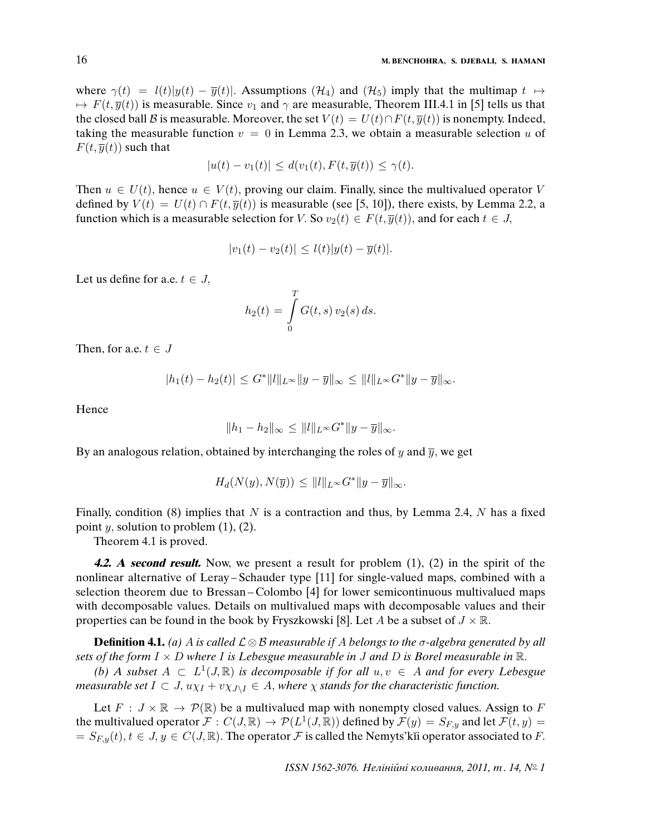where  $\gamma(t) = l(t)|y(t) - \overline{y}(t)|$ . Assumptions (H<sub>4</sub>) and (H<sub>5</sub>) imply that the multimap  $t \mapsto$  $\rightarrow$  F(t,  $\bar{y}(t)$ ) is measurable. Since  $v_1$  and  $\gamma$  are measurable, Theorem III.4.1 in [5] tells us that the closed ball B is measurable. Moreover, the set  $V(t) = U(t) \cap F(t, \overline{y}(t))$  is nonempty. Indeed, taking the measurable function  $v = 0$  in Lemma 2.3, we obtain a measurable selection u of  $F(t, \overline{y}(t))$  such that

$$
|u(t) - v_1(t)| \le d(v_1(t), F(t, \overline{y}(t)) \le \gamma(t).
$$

Then  $u \in U(t)$ , hence  $u \in V(t)$ , proving our claim. Finally, since the multivalued operator V defined by  $V(t) = U(t) \cap F(t, \overline{y}(t))$  is measurable (see [5, 10]), there exists, by Lemma 2.2, a function which is a measurable selection for V. So  $v_2(t) \in F(t, \overline{y}(t))$ , and for each  $t \in J$ ,

$$
|v_1(t) - v_2(t)| \le l(t)|y(t) - \overline{y}(t)|.
$$

Let us define for a.e.  $t \in J$ ,

$$
h_2(t) = \int_{0}^{T} G(t, s) v_2(s) ds.
$$

Then, for a.e.  $t \in J$ 

$$
|h_1(t) - h_2(t)| \leq G^* ||l||_{L^{\infty}} ||y - \overline{y}||_{\infty} \leq ||l||_{L^{\infty}} G^* ||y - \overline{y}||_{\infty}.
$$

Hence

$$
||h_1 - h_2||_{\infty} \le ||l||_{L^{\infty}} G^*||y - \overline{y}||_{\infty}.
$$

By an analogous relation, obtained by interchanging the roles of  $y$  and  $\overline{y}$ , we get

$$
H_d(N(y), N(\overline{y})) \le ||l||_{L^{\infty}} G^*||y - \overline{y}||_{\infty}.
$$

Finally, condition (8) implies that N is a contraction and thus, by Lemma 2.4, N has a fixed point  $y$ , solution to problem  $(1)$ ,  $(2)$ .

Theorem 4.1 is proved.

**4.2. A second result.** Now, we present a result for problem (1), (2) in the spirit of the nonlinear alternative of Leray – Schauder type [11] for single-valued maps, combined with a selection theorem due to Bressan – Colombo [4] for lower semicontinuous multivalued maps with decomposable values. Details on multivalued maps with decomposable values and their properties can be found in the book by Fryszkowski [8]. Let A be a subset of  $J \times \mathbb{R}$ .

**Definition 4.1.** (a) A is called  $\mathcal{L} \otimes \mathcal{B}$  measurable if A belongs to the  $\sigma$ -algebra generated by all sets of the form  $I \times D$  where I is Lebesgue measurable in J and D is Borel measurable in  $\mathbb{R}$ .

(b) A subset  $A \subset L^1(J, \mathbb{R})$  is decomposable if for all  $u, v \in A$  and for every Lebesgue measurable set  $I \subset J$ ,  $u\chi_I + v\chi_{J\setminus I} \in A$ , where  $\chi$  stands for the characteristic function.

Let  $F : J \times \mathbb{R} \to \mathcal{P}(\mathbb{R})$  be a multivalued map with nonempty closed values. Assign to F the multivalued operator  $\mathcal{F}:C(J,\mathbb{R})\to\mathcal{P}(L^1(J,\mathbb{R}))$  defined by  $\mathcal{F}(y)=S_{F,y}$  and let  $\mathcal{F}(t,y)=\mathcal{F}(t,y)$  $= S_{F,y}(t), t \in J, y \in C(J, \mathbb{R})$ . The operator F is called the Nemyts' kii operator associated to F.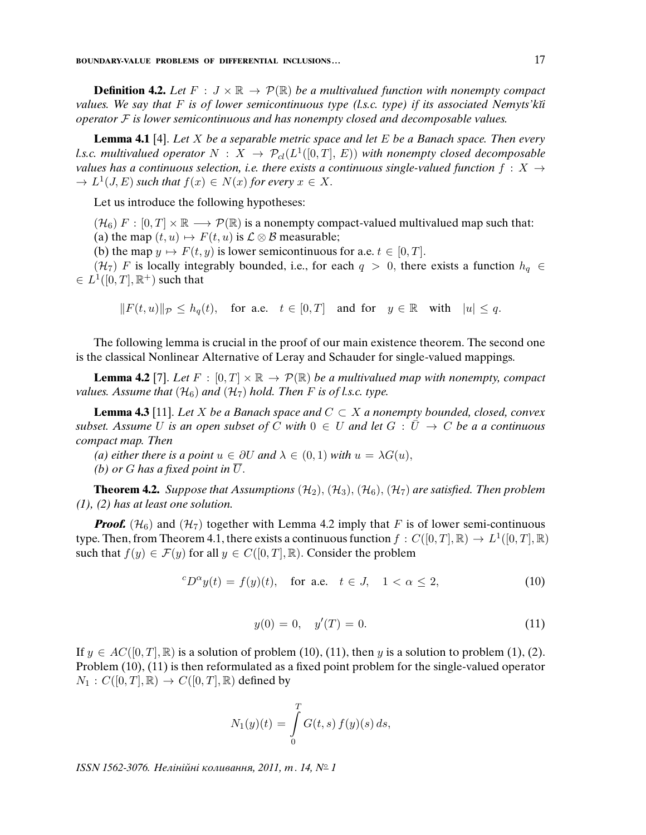**Definition 4.2.** Let  $F : J \times \mathbb{R} \to \mathcal{P}(\mathbb{R})$  be a multivalued function with nonempty compact values. We say that F is of lower semicontinuous type (l.s.c. type) if its associated Nemyts'kii operator  $\mathcal F$  is lower semicontinuous and has nonempty closed and decomposable values.

**Lemma 4.1** [4]. Let X be a separable metric space and let E be a Banach space. Then every l.s.c. multivalued operator  $N \, : \, X \, \rightarrow \, \mathcal{P}_{cl}(L^1([0,T],\, E))$  with nonempty closed decomposable values has a continuous selection, i.e. there exists a continuous single-valued function  $f : X \rightarrow$  $\rightarrow L^1(J, E)$  such that  $f(x) \in N(x)$  for every  $x \in X$ .

Let us introduce the following hypotheses:

 $(\mathcal{H}_6)$  F :  $[0, T] \times \mathbb{R} \longrightarrow \mathcal{P}(\mathbb{R})$  is a nonempty compact-valued multivalued map such that: (a) the map  $(t, u) \mapsto F(t, u)$  is  $\mathcal{L} \otimes \mathcal{B}$  measurable;

(b) the map  $y \mapsto F(t, y)$  is lower semicontinuous for a.e.  $t \in [0, T]$ .

(H<sub>7</sub>) F is locally integrably bounded, i.e., for each  $q > 0$ , there exists a function  $h_q \in$  $\in L^1([0,T],\mathbb{R}^+)$  such that

 $||F(t, u)||_{\mathcal{P}} \leq h_o(t)$ , for a.e.  $t \in [0, T]$  and for  $y \in \mathbb{R}$  with  $|u| \leq q$ .

The following lemma is crucial in the proof of our main existence theorem. The second one is the classical Nonlinear Alternative of Leray and Schauder for single-valued mappings.

**Lemma 4.2** [7]. Let  $F : [0, T] \times \mathbb{R} \rightarrow \mathcal{P}(\mathbb{R})$  be a multivalued map with nonempty, compact values. Assume that  $(\mathcal{H}_6)$  and  $(\mathcal{H}_7)$  hold. Then F is of l.s.c. type.

**Lemma 4.3** [11]. Let X be a Banach space and  $C \subset X$  a nonempty bounded, closed, convex subset. Assume U is an open subset of C with  $0 \in U$  and let  $G : \overline{U} \to C$  be a a continuous compact map. Then

(a) either there is a point  $u \in \partial U$  and  $\lambda \in (0,1)$  with  $u = \lambda G(u)$ ,

(b) or G has a fixed point in  $\overline{U}$ .

**Theorem 4.2.** Suppose that Assumptions  $(\mathcal{H}_2)$ ,  $(\mathcal{H}_3)$ ,  $(\mathcal{H}_6)$ ,  $(\mathcal{H}_7)$  are satisfied. Then problem (1), (2) has at least one solution.

**Proof.** ( $\mathcal{H}_6$ ) and ( $\mathcal{H}_7$ ) together with Lemma 4.2 imply that F is of lower semi-continuous type. Then, from Theorem 4.1, there exists a continuous function  $f: C([0,T], \mathbb{R}) \to L^1([0,T], \mathbb{R})$ such that  $f(y) \in \mathcal{F}(y)$  for all  $y \in C([0, T], \mathbb{R})$ . Consider the problem

$$
{}^{c}D^{\alpha}y(t) = f(y)(t), \quad \text{for a.e.} \quad t \in J, \quad 1 < \alpha \le 2,\tag{10}
$$

$$
y(0) = 0, \quad y'(T) = 0. \tag{11}
$$

If  $y \in AC([0,T], \mathbb{R})$  is a solution of problem (10), (11), then y is a solution to problem (1), (2). Problem (10), (11) is then reformulated as a fixed point problem for the single-valued operator  $N_1: C([0,T], \mathbb{R}) \to C([0,T], \mathbb{R})$  defined by

$$
N_1(y)(t) = \int_{0}^{T} G(t, s) f(y)(s) ds,
$$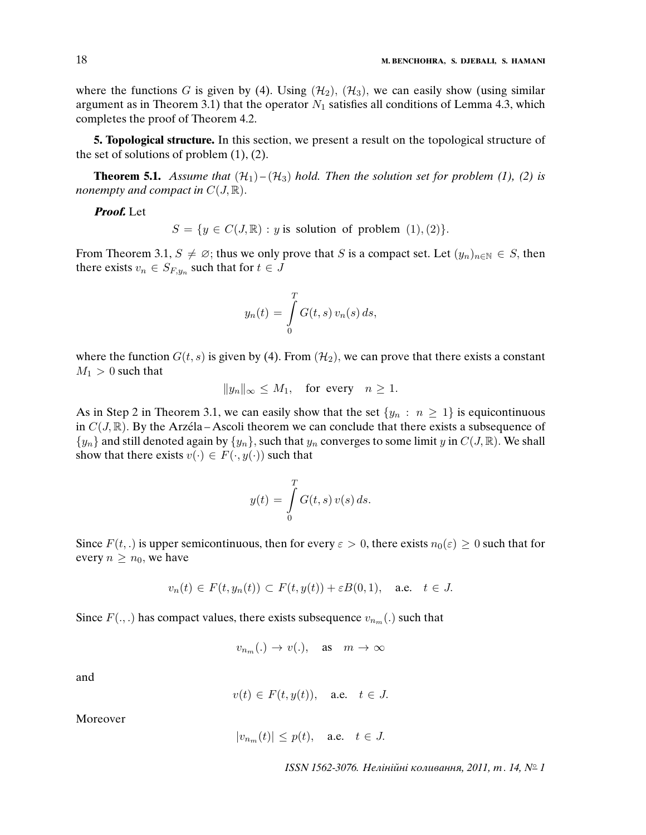where the functions G is given by (4). Using  $(\mathcal{H}_2)$ ,  $(\mathcal{H}_3)$ , we can easily show (using similar argument as in Theorem 3.1) that the operator  $N_1$  satisfies all conditions of Lemma 4.3, which completes the proof of Theorem 4.2.

**5. Topological structure.** In this section, we present a result on the topological structure of the set of solutions of problem  $(1)$ ,  $(2)$ .

**Theorem 5.1.** Assume that  $(\mathcal{H}_1) - (\mathcal{H}_3)$  hold. Then the solution set for problem (1), (2) is nonempty and compact in  $C(J, \mathbb{R})$ .

**Proof.** Let

 $S = \{y \in C(J, \mathbb{R}) : y \text{ is solution of problem } (1), (2)\}.$ 

From Theorem 3.1,  $S \neq \emptyset$ ; thus we only prove that S is a compact set. Let  $(y_n)_{n \in \mathbb{N}} \in S$ , then there exists  $v_n \in S_{F,y_n}$  such that for  $t \in J$ 

$$
y_n(t) = \int\limits_0^T G(t,s) \, v_n(s) \, ds,
$$

where the function  $G(t, s)$  is given by (4). From  $(\mathcal{H}_2)$ , we can prove that there exists a constant  $M_1 > 0$  such that

$$
||y_n||_{\infty} \le M_1, \text{ for every } n \ge 1.
$$

As in Step 2 in Theorem 3.1, we can easily show that the set  $\{y_n : n \geq 1\}$  is equicontinuous in  $C(J, \mathbb{R})$ . By the Arzéla – Ascoli theorem we can conclude that there exists a subsequence of  $\{y_n\}$  and still denoted again by  $\{y_n\}$ , such that  $y_n$  converges to some limit y in  $C(J, \mathbb{R})$ . We shall show that there exists  $v(\cdot) \in F(\cdot, y(\cdot))$  such that

$$
y(t) = \int\limits_0^T G(t, s) v(s) ds.
$$

Since  $F(t,.)$  is upper semicontinuous, then for every  $\varepsilon > 0$ , there exists  $n_0(\varepsilon) \geq 0$  such that for every  $n \geq n_0$ , we have

$$
v_n(t) \in F(t, y_n(t)) \subset F(t, y(t)) + \varepsilon B(0, 1), \quad \text{a.e.} \quad t \in J.
$$

Since  $F(.,.)$  has compact values, there exists subsequence  $v_{n_m}(.)$  such that

$$
v_{n_m}(.)\to v(.), \quad \text{as} \quad m\to\infty
$$

and

 $v(t) \in F(t, y(t)), \quad \text{a.e.} \quad t \in J.$ 

Moreover

$$
|v_{n_m}(t)| \le p(t), \quad \text{a.e.} \quad t \in J.
$$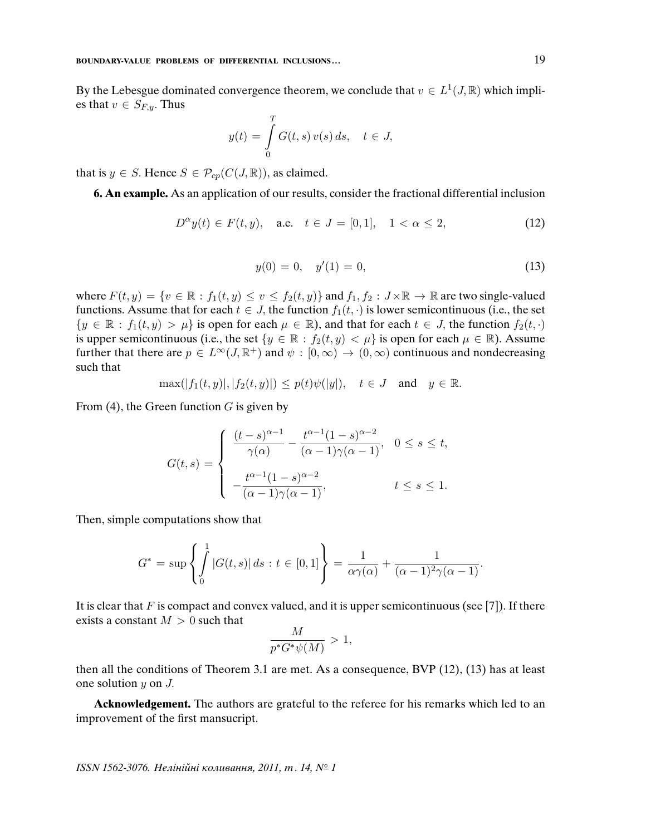By the Lebesgue dominated convergence theorem, we conclude that  $v \in L^1(J, \mathbb{R})$  which implies that  $v \in S_{F,y}$ . Thus

$$
y(t) = \int\limits_0^T G(t,s) v(s) ds, \quad t \in J,
$$

that is  $y \in S$ . Hence  $S \in \mathcal{P}_{cp}(C(J, \mathbb{R}))$ , as claimed.

**6. An example.** As an application of our results, consider the fractional differential inclusion

$$
D^{\alpha}y(t) \in F(t, y), \quad \text{a.e.} \quad t \in J = [0, 1], \quad 1 < \alpha \le 2,\tag{12}
$$

$$
y(0) = 0, \quad y'(1) = 0,\tag{13}
$$

where  $F(t, y) = \{v \in \mathbb{R} : f_1(t, y) \le v \le f_2(t, y)\}\$  and  $f_1, f_2 : J \times \mathbb{R} \to \mathbb{R}$  are two single-valued functions. Assume that for each  $t \in J$ , the function  $f_1(t, \cdot)$  is lower semicontinuous (i.e., the set  $\{y \in \mathbb{R} : f_1(t, y) > \mu\}$  is open for each  $\mu \in \mathbb{R}$ ), and that for each  $t \in J$ , the function  $f_2(t, \cdot)$ is upper semicontinuous (i.e., the set  $\{y \in \mathbb{R} : f_2(t, y) < \mu\}$  is open for each  $\mu \in \mathbb{R}$ ). Assume further that there are  $p \in L^{\infty}(J,\mathbb{R}^+)$  and  $\psi : [0,\infty) \to (0,\infty)$  continuous and nondecreasing such that

$$
\max(|f_1(t,y)|, |f_2(t,y)|) \le p(t)\psi(|y|), \quad t \in J \quad \text{and} \quad y \in \mathbb{R}.
$$

From (4), the Green function  $G$  is given by

$$
G(t,s) = \begin{cases} \frac{(t-s)^{\alpha-1}}{\gamma(\alpha)} - \frac{t^{\alpha-1}(1-s)^{\alpha-2}}{(\alpha-1)\gamma(\alpha-1)}, & 0 \le s \le t, \\ -\frac{t^{\alpha-1}(1-s)^{\alpha-2}}{(\alpha-1)\gamma(\alpha-1)}, & t \le s \le 1. \end{cases}
$$

Then, simple computations show that

$$
G^* = \sup \left\{ \int_0^1 |G(t,s)| \, ds : t \in [0,1] \right\} = \frac{1}{\alpha \gamma(\alpha)} + \frac{1}{(\alpha - 1)^2 \gamma(\alpha - 1)}.
$$

It is clear that  $F$  is compact and convex valued, and it is upper semicontinuous (see [7]). If there exists a constant  $M > 0$  such that

$$
\frac{M}{p^*G^*\psi(M)} > 1,
$$

then all the conditions of Theorem 3.1 are met. As a consequence, BVP (12), (13) has at least one solution y on J.

**Acknowledgement.** The authors are grateful to the referee for his remarks which led to an improvement of the first mansucript.